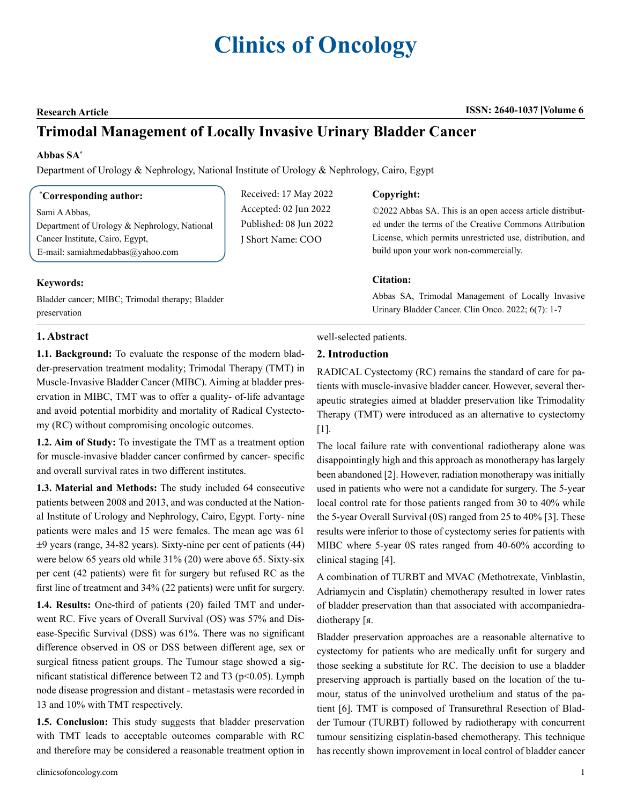# **Clinics of Oncology**

#### **Research Article ISSN: 2640-1037 Volume 6**

## **Trimodal Management of Locally Invasive Urinary Bladder Cancer**

#### **Abbas SA\***

Department of Urology & Nephrology, National Institute of Urology & Nephrology, Cairo, Egypt

#### **\* Corresponding author:**

Sami A Abbas, Department of Urology & Nephrology, National Cancer Institute, Cairo, Egypt, E-mail: samiahmedabbas@yahoo.com

Bladder cancer; MIBC; Trimodal therapy; Bladder

### Received: 17 May 2022 Accepted: 02 Jun 2022 Published: 08 Jun 2022 J Short Name: COO

#### **Copyright:**

©2022 Abbas SA. This is an open access article distributed under the terms of the Creative Commons Attribution License, which permits unrestricted use, distribution, and build upon your work non-commercially.

#### **Citation:**

Abbas SA, Trimodal Management of Locally Invasive Urinary Bladder Cancer. Clin Onco. 2022; 6(7): 1-7

#### **1. Abstract**

**Keywords:**

preservation

**1.1. Background:** To evaluate the response of the modern bladder-preservation treatment modality; Trimodal Therapy (TMT) in Muscle-Invasive Bladder Cancer (MIBC). Aiming at bladder preservation in MIBC, TMT was to offer a quality- of-life advantage and avoid potential morbidity and mortality of Radical Cystectomy (RC) without compromising oncologic outcomes.

**1.2. Aim of Study:** To investigate the TMT as a treatment option for muscle-invasive bladder cancer confirmed by cancer- specific and overall survival rates in two different institutes.

**1.3. Material and Methods:** The study included 64 consecutive patients between 2008 and 2013, and was conducted at the National Institute of Urology and Nephrology, Cairo, Egypt. Forty- nine patients were males and 15 were females. The mean age was 61 ±9 years (range, 34-82 years). Sixty-nine per cent of patients (44) were below 65 years old while 31% (20) were above 65. Sixty-six per cent (42 patients) were fit for surgery but refused RC as the first line of treatment and 34% (22 patients) were unfit for surgery.

**1.4. Results:** One-third of patients (20) failed TMT and underwent RC. Five years of Overall Survival (OS) was 57% and Disease-Specific Survival (DSS) was 61%. There was no significant difference observed in OS or DSS between different age, sex or surgical fitness patient groups. The Tumour stage showed a significant statistical difference between T2 and T3 ( $p$ <0.05). Lymph node disease progression and distant - metastasis were recorded in 13 and 10% with TMT respectively.

**1.5. Conclusion:** This study suggests that bladder preservation with TMT leads to acceptable outcomes comparable with RC and therefore may be considered a reasonable treatment option in

#### well-selected patients.

#### **2. Introduction**

RADICAL Cystectomy (RC) remains the standard of care for patients with muscle-invasive bladder cancer. However, several therapeutic strategies aimed at bladder preservation like Trimodality Therapy (TMT) were introduced as an alternative to cystectomy [1].

The local failure rate with conventional radiotherapy alone was disappointingly high and this approach as monotherapy has largely been abandoned [2]. However, radiation monotherapy was initially used in patients who were not a candidate for surgery. The 5-year local control rate for those patients ranged from 30 to 40% while the 5-year Overall Survival (0S) ranged from 25 to 40% [3]. These results were inferior to those of cystectomy series for patients with MIBC where 5-year 0S rates ranged from 40-60% according to clinical staging [4].

A combination of TURBT and MVAC (Methotrexate, Vinblastin, Adriamycin and Cisplatin) chemotherapy resulted in lower rates of bladder preservation than that associated with accompaniedradiotherapy [я.

Bladder preservation approaches are a reasonable alternative to cystectomy for patients who are medically unfit for surgery and those seeking a substitute for RC. The decision to use a bladder preserving approach is partially based on the location of the tumour, status of the uninvolved urothelium and status of the patient [6]. TMT is composed of Transurethral Resection of Bladder Tumour (TURBT) followed by radiotherapy with concurrent tumour sensitizing cisplatin-based chemotherapy. This technique has recently shown improvement in local control of bladder cancer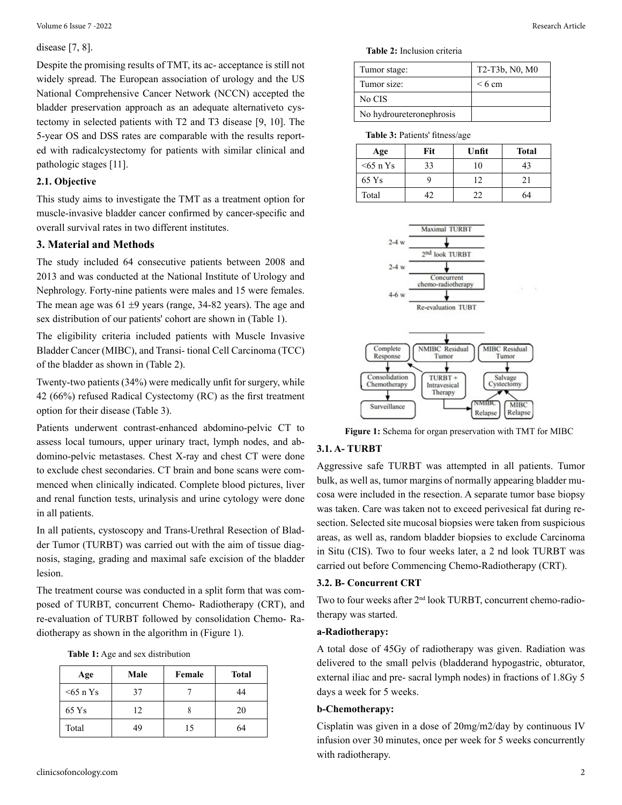#### disease [7, 8].

Despite the promising results of TMT, its ac- acceptance is still not widely spread. The European association of urology and the US National Comprehensive Cancer Network (NCCN) accepted the bladder preservation approach as an adequate alternativeto cystectomy in selected patients with T2 and T3 disease [9, 10]. The 5-year OS and DSS rates are comparable with the results reported with radicalcystectomy for patients with similar clinical and pathologic stages [11].

#### **2.1. Objective**

This study aims to investigate the TMT as a treatment option for muscle-invasive bladder cancer confirmed by cancer-specific and overall survival rates in two different institutes.

#### **3. Material and Methods**

The study included 64 consecutive patients between 2008 and 2013 and was conducted at the National Institute of Urology and Nephrology. Forty-nine patients were males and 15 were females. The mean age was  $61 \pm 9$  years (range, 34-82 years). The age and sex distribution of our patients' cohort are shown in (Table 1).

The eligibility criteria included patients with Muscle Invasive Bladder Cancer (MIBC), and Transi- tional Cell Carcinoma (TCC) of the bladder as shown in (Table 2).

Twenty-two patients (34%) were medically unfit for surgery, while 42 (66%) refused Radical Cystectomy (RC) as the first treatment option for their disease (Table 3).

Patients underwent contrast-enhanced abdomino-pelvic CT to assess local tumours, upper urinary tract, lymph nodes, and abdomino-pelvic metastases. Chest X-ray and chest CT were done to exclude chest secondaries. CT brain and bone scans were commenced when clinically indicated. Complete blood pictures, liver and renal function tests, urinalysis and urine cytology were done in all patients.

In all patients, cystoscopy and Trans-Urethral Resection of Bladder Tumor (TURBT) was carried out with the aim of tissue diagnosis, staging, grading and maximal safe excision of the bladder lesion.

The treatment course was conducted in a split form that was composed of TURBT, concurrent Chemo- Radiotherapy (CRT), and re-evaluation of TURBT followed by consolidation Chemo- Radiotherapy as shown in the algorithm in (Figure 1).

|  |  |  | <b>Table 1:</b> Age and sex distribution |
|--|--|--|------------------------------------------|
|--|--|--|------------------------------------------|

| Age       | Male | Female | Total |
|-----------|------|--------|-------|
| $55$ n Ys | 37   |        | 44    |
| 65 Ys     | 12   |        | 20    |
| Total     | 49   | 15     | 64    |

**Table 2:** Inclusion criteria

| Tumor stage:             | T2-T3b, N0, M0 |
|--------------------------|----------------|
| Tumor size:              | $\leq 6$ cm    |
| No CIS                   |                |
| No hydroureteronephrosis |                |

**Table 3:** Patients' fitness/age

| Age       | Fit | Unfit | <b>Total</b> |
|-----------|-----|-------|--------------|
| $55$ n Ys | 33  | 10    | 43           |
| 65 Ys     |     | 12    | 21           |
| Total     | 17  | つつ    | 64           |





**Figure 1:** Schema for organ preservation with TMT for MIBC

#### **3.1. A- TURBT**

Aggressive safe TURBT was attempted in all patients. Tumor bulk, as well as, tumor margins of normally appearing bladder mucosa were included in the resection. A separate tumor base biopsy was taken. Care was taken not to exceed perivesical fat during resection. Selected site mucosal biopsies were taken from suspicious areas, as well as, random bladder biopsies to exclude Carcinoma in Situ (CIS). Two to four weeks later, a 2 nd look TURBT was carried out before Commencing Chemo-Radiotherapy (CRT).

#### **3.2. B- Concurrent CRT**

Two to four weeks after 2<sup>nd</sup> look TURBT, concurrent chemo-radiotherapy was started.

#### **a-Radiotherapy:**

A total dose of 45Gy of radiotherapy was given. Radiation was delivered to the small pelvis (bladderand hypogastric, obturator, external iliac and pre- sacral lymph nodes) in fractions of 1.8Gy 5 days a week for 5 weeks.

#### **b-Chemotherapy:**

Cisplatin was given in a dose of 20mg/m2/day by continuous IV infusion over 30 minutes, once per week for 5 weeks concurrently with radiotherapy.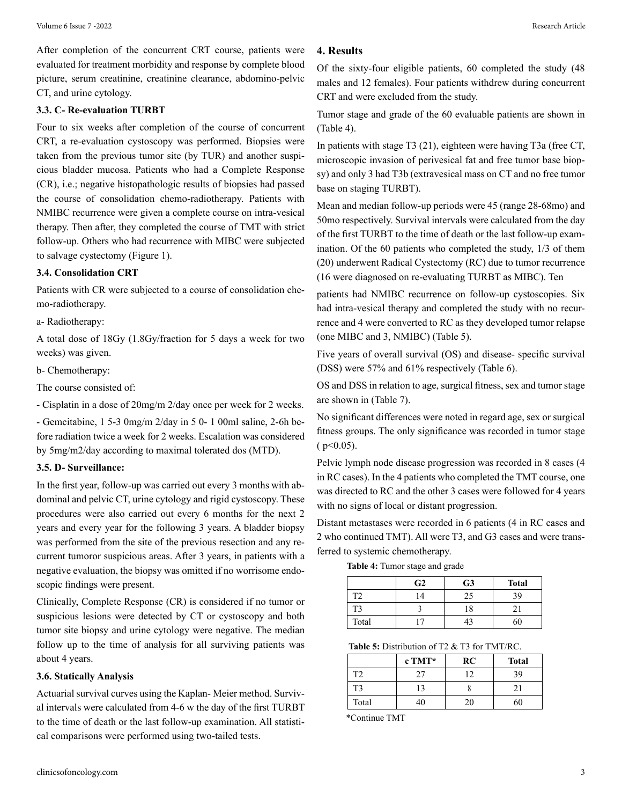After completion of the concurrent CRT course, patients were evaluated for treatment morbidity and response by complete blood picture, serum creatinine, creatinine clearance, abdomino-pelvic CT, and urine cytology.

#### **3.3. C- Re-evaluation TURBT**

Four to six weeks after completion of the course of concurrent CRT, a re-evaluation cystoscopy was performed. Biopsies were taken from the previous tumor site (by TUR) and another suspicious bladder mucosa. Patients who had a Complete Response (CR), i.e.; negative histopathologic results of biopsies had passed the course of consolidation chemo-radiotherapy. Patients with NMIBC recurrence were given a complete course on intra-vesical therapy. Then after, they completed the course of TMT with strict follow-up. Others who had recurrence with MIBC were subjected to salvage cystectomy (Figure 1).

#### **3.4. Consolidation CRT**

Patients with CR were subjected to a course of consolidation chemo-radiotherapy.

a- Radiotherapy:

A total dose of 18Gy (1.8Gy/fraction for 5 days a week for two weeks) was given.

b- Chemotherapy:

The course consisted of:

- Cisplatin in a dose of 20mg/m 2/day once per week for 2 weeks.

- Gemcitabine, 1 5-3 0mg/m 2/day in 5 0- 1 00ml saline, 2-6h before radiation twice a week for 2 weeks. Escalation was considered by 5mg/m2/day according to maximal tolerated dos (MTD).

#### **3.5. D- Surveillance:**

In the first year, follow-up was carried out every 3 months with abdominal and pelvic CT, urine cytology and rigid cystoscopy. These procedures were also carried out every 6 months for the next 2 years and every year for the following 3 years. A bladder biopsy was performed from the site of the previous resection and any recurrent tumoror suspicious areas. After 3 years, in patients with a negative evaluation, the biopsy was omitted if no worrisome endoscopic findings were present.

Clinically, Complete Response (CR) is considered if no tumor or suspicious lesions were detected by CT or cystoscopy and both tumor site biopsy and urine cytology were negative. The median follow up to the time of analysis for all surviving patients was about 4 years.

#### **3.6. Statically Analysis**

Actuarial survival curves using the Kaplan- Meier method. Survival intervals were calculated from 4-6 w the day of the first TURBT to the time of death or the last follow-up examination. All statistical comparisons were performed using two-tailed tests.

#### **4. Results**

Of the sixty-four eligible patients, 60 completed the study (48 males and 12 females). Four patients withdrew during concurrent CRT and were excluded from the study.

Tumor stage and grade of the 60 evaluable patients are shown in (Table 4).

In patients with stage T3 (21), eighteen were having T3a (free CT, microscopic invasion of perivesical fat and free tumor base biopsy) and only 3 had T3b (extravesical mass on CT and no free tumor base on staging TURBT).

Mean and median follow-up periods were 45 (range 28-68mo) and 50mo respectively. Survival intervals were calculated from the day of the first TURBT to the time of death or the last follow-up examination. Of the 60 patients who completed the study, 1/3 of them (20) underwent Radical Cystectomy (RC) due to tumor recurrence (16 were diagnosed on re-evaluating TURBT as MIBC). Ten

patients had NMIBC recurrence on follow-up cystoscopies. Six had intra-vesical therapy and completed the study with no recurrence and 4 were converted to RC as they developed tumor relapse (one MIBC and 3, NMIBC) (Table 5).

Five years of overall survival (OS) and disease- specific survival (DSS) were 57% and 61% respectively (Table 6).

OS and DSS in relation to age, surgical fitness, sex and tumor stage are shown in (Table 7).

No significant differences were noted in regard age, sex or surgical fitness groups. The only significance was recorded in tumor stage  $(p<0.05)$ .

Pelvic lymph node disease progression was recorded in 8 cases (4 in RC cases). In the 4 patients who completed the TMT course, one was directed to RC and the other 3 cases were followed for 4 years with no signs of local or distant progression.

Distant metastases were recorded in 6 patients (4 in RC cases and 2 who continued TMT). All were T3, and G3 cases and were transferred to systemic chemotherapy.

**Table 4:** Tumor stage and grade

|                | G <sub>2</sub> | G <sub>3</sub> | <b>Total</b>    |
|----------------|----------------|----------------|-----------------|
| T <sub>2</sub> | 14             | 25             | 39              |
| T <sub>3</sub> |                | 18             | $\mathcal{D}$ 1 |
| Total          | $\mathbf{r}$   | 43             | 60              |

**Table 5:** Distribution of T2 & T3 for TMT/RC.

|                | c TMT* | RC | <b>Total</b> |
|----------------|--------|----|--------------|
| T <sub>2</sub> | 27     | 12 | 39           |
| T <sub>3</sub> | 13     |    |              |
| Total          | 40     | 20 |              |

\*Continue TMT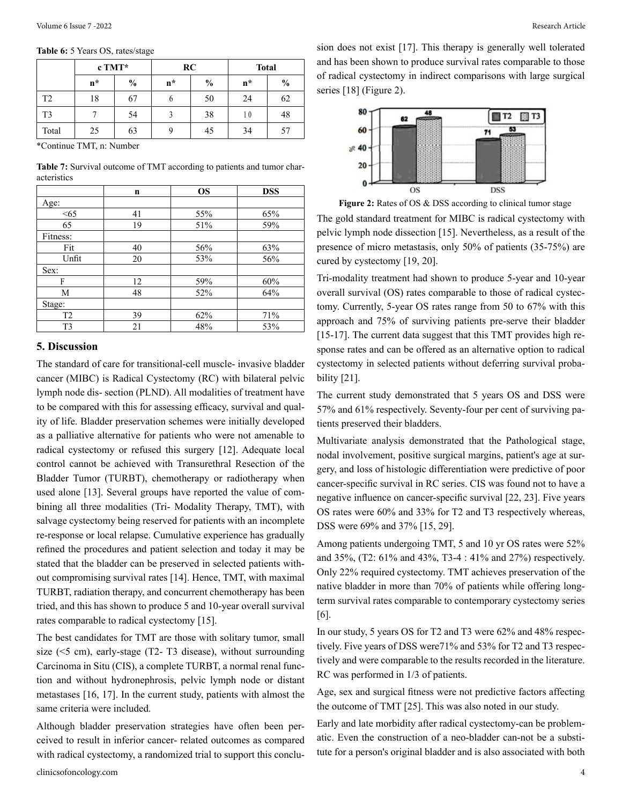|                | $c$ TMT* |               | RC    |               | <b>Total</b> |               |
|----------------|----------|---------------|-------|---------------|--------------|---------------|
|                | $n^*$    | $\frac{0}{0}$ | $n^*$ | $\frac{0}{0}$ | $n^*$        | $\frac{0}{0}$ |
| T <sub>2</sub> | 18       | 67            | O     | 50            | 24           | 62            |
| T <sub>3</sub> |          | 54            |       | 38            | 10           | 48            |
| Total          | 25       | 63            | 9     | 45            | 34           | 57            |

\*Continue TMT, n: Number

**Table 7:** Survival outcome of TMT according to patients and tumor characteristics

|                | n  | <b>OS</b> | <b>DSS</b> |
|----------------|----|-----------|------------|
| Age:           |    |           |            |
| < 65           | 41 | 55%       | 65%        |
| 65             | 19 | 51%       | 59%        |
| Fitness:       |    |           |            |
| Fit            | 40 | 56%       | 63%        |
| Unfit          | 20 | 53%       | 56%        |
| Sex:           |    |           |            |
| F              | 12 | 59%       | 60%        |
| M              | 48 | 52%       | 64%        |
| Stage:         |    |           |            |
| T <sub>2</sub> | 39 | 62%       | 71%        |
| T <sub>3</sub> | 21 | 48%       | 53%        |

#### **5. Discussion**

The standard of care for transitional-cell muscle- invasive bladder cancer (MIBC) is Radical Cystectomy (RC) with bilateral pelvic lymph node dis- section (PLND). All modalities of treatment have to be compared with this for assessing efficacy, survival and quality of life. Bladder preservation schemes were initially developed as a palliative alternative for patients who were not amenable to radical cystectomy or refused this surgery [12]. Adequate local control cannot be achieved with Transurethral Resection of the Bladder Tumor (TURBT), chemotherapy or radiotherapy when used alone [13]. Several groups have reported the value of combining all three modalities (Tri- Modality Therapy, TMT), with salvage cystectomy being reserved for patients with an incomplete re-response or local relapse. Cumulative experience has gradually refined the procedures and patient selection and today it may be stated that the bladder can be preserved in selected patients without compromising survival rates [14]. Hence, TMT, with maximal TURBT, radiation therapy, and concurrent chemotherapy has been tried, and this has shown to produce 5 and 10-year overall survival rates comparable to radical cystectomy [15].

The best candidates for TMT are those with solitary tumor, small size  $(\leq 5 \text{ cm})$ , early-stage  $(T2 - T3 \text{ disease})$ , without surrounding Carcinoma in Situ (CIS), a complete TURBT, a normal renal function and without hydronephrosis, pelvic lymph node or distant metastases [16, 17]. In the current study, patients with almost the same criteria were included.

Although bladder preservation strategies have often been perceived to result in inferior cancer- related outcomes as compared with radical cystectomy, a randomized trial to support this conclusion does not exist [17]. This therapy is generally well tolerated and has been shown to produce survival rates comparable to those of radical cystectomy in indirect comparisons with large surgical series [18] (Figure 2).



**Figure 2:** Rates of OS & DSS according to clinical tumor stage

The gold standard treatment for MIBC is radical cystectomy with pelvic lymph node dissection [15]. Nevertheless, as a result of the presence of micro metastasis, only 50% of patients (35-75%) are cured by cystectomy [19, 20].

Tri-modality treatment had shown to produce 5-year and 10-year overall survival (OS) rates comparable to those of radical cystectomy. Currently, 5-year OS rates range from 50 to 67% with this approach and 75% of surviving patients pre-serve their bladder [15-17]. The current data suggest that this TMT provides high response rates and can be offered as an alternative option to radical cystectomy in selected patients without deferring survival probability [21].

The current study demonstrated that 5 years OS and DSS were 57% and 61% respectively. Seventy-four per cent of surviving patients preserved their bladders.

Multivariate analysis demonstrated that the Pathological stage, nodal involvement, positive surgical margins, patient's age at surgery, and loss of histologic differentiation were predictive of poor cancer-specific survival in RC series. CIS was found not to have a negative influence on cancer-specific survival [22, 23]. Five years OS rates were 60% and 33% for T2 and T3 respectively whereas, DSS were 69% and 37% [15, 29].

Among patients undergoing TMT, 5 and 10 yr OS rates were 52% and 35%, (T2: 61% and 43%, T3-4 : 41% and 27%) respectively. Only 22% required cystectomy. TMT achieves preservation of the native bladder in more than 70% of patients while offering longterm survival rates comparable to contemporary cystectomy series [6].

In our study, 5 years OS for T2 and T3 were 62% and 48% respectively. Five years of DSS were71% and 53% for T2 and T3 respectively and were comparable to the results recorded in the literature. RC was performed in 1/3 of patients.

Age, sex and surgical fitness were not predictive factors affecting the outcome of TMT [25]. This was also noted in our study.

Early and late morbidity after radical cystectomy-can be problematic. Even the construction of a neo-bladder can-not be a substitute for a person's original bladder and is also associated with both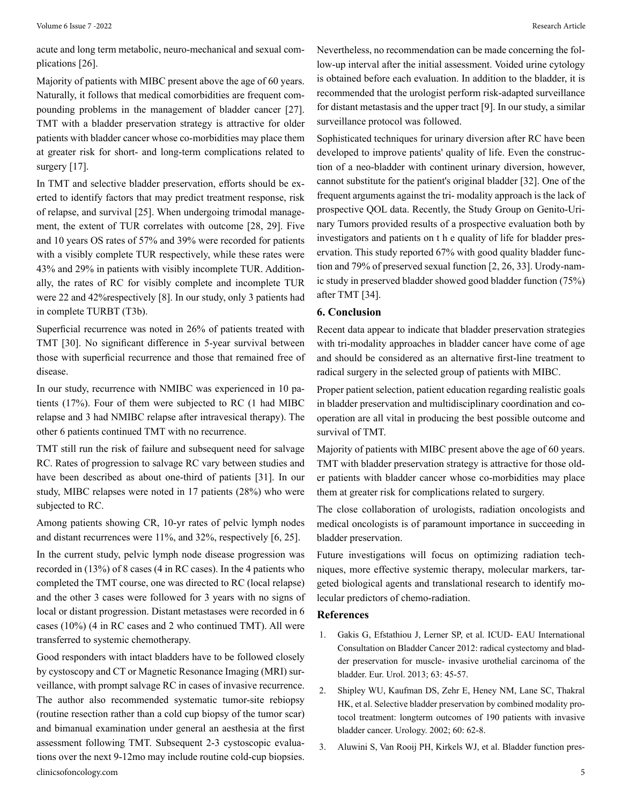acute and long term metabolic, neuro-mechanical and sexual complications [26].

Majority of patients with MIBC present above the age of 60 years. Naturally, it follows that medical comorbidities are frequent compounding problems in the management of bladder cancer [27]. TMT with a bladder preservation strategy is attractive for older patients with bladder cancer whose co-morbidities may place them at greater risk for short- and long-term complications related to surgery [17].

In TMT and selective bladder preservation, efforts should be exerted to identify factors that may predict treatment response, risk of relapse, and survival [25]. When undergoing trimodal management, the extent of TUR correlates with outcome [28, 29]. Five and 10 years OS rates of 57% and 39% were recorded for patients with a visibly complete TUR respectively, while these rates were 43% and 29% in patients with visibly incomplete TUR. Additionally, the rates of RC for visibly complete and incomplete TUR were 22 and 42%respectively [8]. In our study, only 3 patients had in complete TURBT (T3b).

Superficial recurrence was noted in 26% of patients treated with TMT [30]. No significant difference in 5-year survival between those with superficial recurrence and those that remained free of disease.

In our study, recurrence with NMIBC was experienced in 10 patients (17%). Four of them were subjected to RC (1 had MIBC relapse and 3 had NMIBC relapse after intravesical therapy). The other 6 patients continued TMT with no recurrence.

TMT still run the risk of failure and subsequent need for salvage RC. Rates of progression to salvage RC vary between studies and have been described as about one-third of patients [31]. In our study, MIBC relapses were noted in 17 patients (28%) who were subjected to RC.

Among patients showing CR, 10-yr rates of pelvic lymph nodes and distant recurrences were 11%, and 32%, respectively [6, 25].

In the current study, pelvic lymph node disease progression was recorded in (13%) of 8 cases (4 in RC cases). In the 4 patients who completed the TMT course, one was directed to RC (local relapse) and the other 3 cases were followed for 3 years with no signs of local or distant progression. Distant metastases were recorded in 6 cases (10%) (4 in RC cases and 2 who continued TMT). All were transferred to systemic chemotherapy.

clinicsofoncology.com 5 Good responders with intact bladders have to be followed closely by cystoscopy and CT or Magnetic Resonance Imaging (MRI) surveillance, with prompt salvage RC in cases of invasive recurrence. The author also recommended systematic tumor-site rebiopsy (routine resection rather than a cold cup biopsy of the tumor scar) and bimanual examination under general an aesthesia at the first assessment following TMT. Subsequent 2-3 cystoscopic evaluations over the next 9-12mo may include routine cold-cup biopsies.

Nevertheless, no recommendation can be made concerning the follow-up interval after the initial assessment. Voided urine cytology is obtained before each evaluation. In addition to the bladder, it is recommended that the urologist perform risk-adapted surveillance for distant metastasis and the upper tract [9]. In our study, a similar surveillance protocol was followed.

Sophisticated techniques for urinary diversion after RC have been developed to improve patients' quality of life. Even the construction of a neo-bladder with continent urinary diversion, however, cannot substitute for the patient's original bladder [32]. One of the frequent arguments against the tri- modality approach is the lack of prospective QOL data. Recently, the Study Group on Genito-Urinary Tumors provided results of a prospective evaluation both by investigators and patients on t h e quality of life for bladder preservation. This study reported 67% with good quality bladder function and 79% of preserved sexual function [2, 26, 33]. Urody-namic study in preserved bladder showed good bladder function (75%) after TMT [34].

#### **6. Conclusion**

Recent data appear to indicate that bladder preservation strategies with tri-modality approaches in bladder cancer have come of age and should be considered as an alternative first-line treatment to radical surgery in the selected group of patients with MIBC.

Proper patient selection, patient education regarding realistic goals in bladder preservation and multidisciplinary coordination and cooperation are all vital in producing the best possible outcome and survival of TMT.

Majority of patients with MIBC present above the age of 60 years. TMT with bladder preservation strategy is attractive for those older patients with bladder cancer whose co-morbidities may place them at greater risk for complications related to surgery.

The close collaboration of urologists, radiation oncologists and medical oncologists is of paramount importance in succeeding in bladder preservation.

Future investigations will focus on optimizing radiation techniques, more effective systemic therapy, molecular markers, targeted biological agents and translational research to identify molecular predictors of chemo-radiation.

#### **References**

- 1. [Gakis G, Efstathiou J, Lerner SP, et al. ICUD- EAU International](https://pubmed.ncbi.nlm.nih.gov/22917985/) [Consultation on Bladder Cancer 2012: radical cystectomy and blad](https://pubmed.ncbi.nlm.nih.gov/22917985/)[der preservation for muscle- invasive urothelial carcinoma of the](https://pubmed.ncbi.nlm.nih.gov/22917985/) [bladder. Eur. Urol. 2013; 63: 45-57.](https://pubmed.ncbi.nlm.nih.gov/22917985/)
- 2. [Shipley WU, Kaufman DS, Zehr E, Heney NM, Lane SC, Thakral](https://pubmed.ncbi.nlm.nih.gov/12100923/) [HK, et al. Selective bladder preservation by combined modality pro](https://pubmed.ncbi.nlm.nih.gov/12100923/)[tocol treatment: longterm outcomes of 190 patients with invasive](https://pubmed.ncbi.nlm.nih.gov/12100923/) [bladder cancer. Urology. 2002; 60: 62-8.](https://pubmed.ncbi.nlm.nih.gov/12100923/)
- 3. [Aluwini S, Van Rooij PH, Kirkels WJ, et al. Bladder function pres-](https://pubmed.ncbi.nlm.nih.gov/24411629/)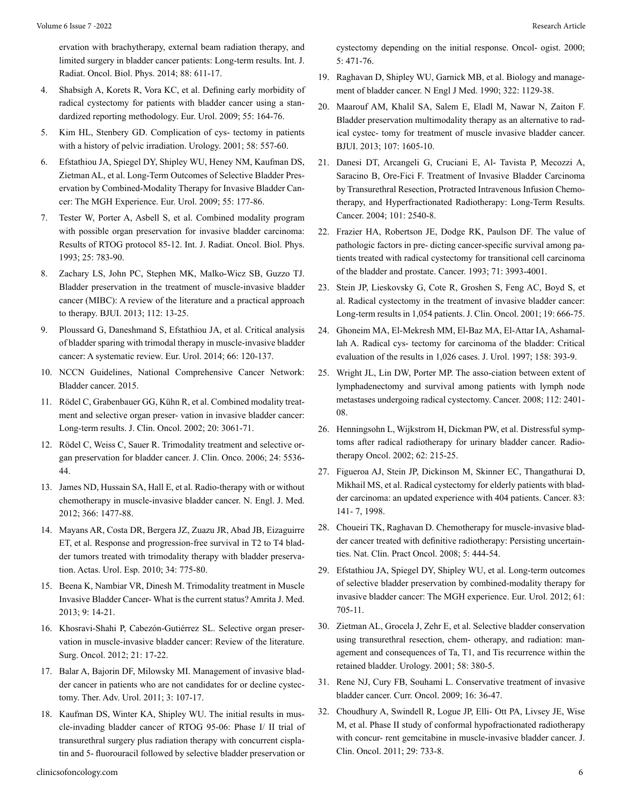[ervation with brachytherapy, external beam radiation therapy, and](https://pubmed.ncbi.nlm.nih.gov/24411629/) [limited surgery in bladder cancer patients: Long-term results. Int. J.](https://pubmed.ncbi.nlm.nih.gov/24411629/) [Radiat. Oncol. Biol. Phys. 2014; 88: 611-17.](https://pubmed.ncbi.nlm.nih.gov/24411629/)

- 4. [Shabsigh A, Korets R, Vora KC, et al. Defining early morbidity of](https://pubmed.ncbi.nlm.nih.gov/18675501/)  [radical cystectomy for patients with bladder cancer using a stan](https://pubmed.ncbi.nlm.nih.gov/18675501/)[dardized reporting methodology. Eur. Urol. 2009; 55: 164-76.](https://pubmed.ncbi.nlm.nih.gov/18675501/)
- 5. [Kim HL, Stenbery GD. Complication of cys- tectomy in patients](https://pubmed.ncbi.nlm.nih.gov/11597538/) [with a history of pelvic irradiation. Urology. 2001; 58: 557-60.](https://pubmed.ncbi.nlm.nih.gov/11597538/)
- 6. [Efstathiou JA, Spiegel DY, Shipley WU, Heney NM, Kaufman DS,](https://pubmed.ncbi.nlm.nih.gov/22101114/)  [Zietman AL, et al. Long-Term Outcomes of Selective Bladder Pres](https://pubmed.ncbi.nlm.nih.gov/22101114/)[ervation by Combined-Modality Therapy for Invasive Bladder Can](https://pubmed.ncbi.nlm.nih.gov/22101114/)[cer: The MGH Experience. Eur. Urol. 2009; 55: 177-86.](https://pubmed.ncbi.nlm.nih.gov/22101114/)
- 7. [Tester W, Porter A, Asbell S, et al. Combined modality program](https://pubmed.ncbi.nlm.nih.gov/8478228/) [with possible organ preservation for invasive bladder carcinoma:](https://pubmed.ncbi.nlm.nih.gov/8478228/) [Results of RTOG protocol 85-12. Int. J. Radiat. Oncol. Biol. Phys.](https://pubmed.ncbi.nlm.nih.gov/8478228/) [1993; 25: 783-90.](https://pubmed.ncbi.nlm.nih.gov/8478228/)
- 8. [Zachary LS, John PC, Stephen MK, Malko-Wicz SB, Guzzo TJ.](https://pubmed.ncbi.nlm.nih.gov/23356411/)  [Bladder preservation in the treatment of muscle-invasive bladder](https://pubmed.ncbi.nlm.nih.gov/23356411/) [cancer \(MIBC\): A review of the literature and a practical approach](https://pubmed.ncbi.nlm.nih.gov/23356411/) [to therapy. BJUI. 2013; 112: 13-25.](https://pubmed.ncbi.nlm.nih.gov/23356411/)
- 9. [Ploussard G, Daneshmand S, Efstathiou JA, et al. Critical analysis](https://pubmed.ncbi.nlm.nih.gov/24613684/)  [of bladder sparing with trimodal therapy in muscle-invasive bladder](https://pubmed.ncbi.nlm.nih.gov/24613684/) [cancer: A systematic review. Eur. Urol. 2014; 66: 120-137.](https://pubmed.ncbi.nlm.nih.gov/24613684/)
- 10. NCCN Guidelines, National Comprehensive Cancer Network: Bladder cancer. 2015.
- 11. [Rödel C, Grabenbauer GG, Kühn R, et al. Combined modality treat](https://pubmed.ncbi.nlm.nih.gov/12118019/)[ment and selective organ preser- vation in invasive bladder cancer:](https://pubmed.ncbi.nlm.nih.gov/12118019/)  [Long-term results. J. Clin. Oncol. 2002; 20: 3061-71.](https://pubmed.ncbi.nlm.nih.gov/12118019/)
- 12. [Rödel C, Weiss C, Sauer R. Trimodality treatment and selective or](https://pubmed.ncbi.nlm.nih.gov/17158539/)[gan preservation for bladder cancer. J. Clin. Onco. 2006; 24: 5536-](https://pubmed.ncbi.nlm.nih.gov/17158539/) [44.](https://pubmed.ncbi.nlm.nih.gov/17158539/)
- 13. [James ND, Hussain SA, Hall E, et al. Radio-therapy with or without](https://pubmed.ncbi.nlm.nih.gov/22512481/) [chemotherapy in muscle-invasive bladder cancer. N. Engl. J. Med.](https://pubmed.ncbi.nlm.nih.gov/22512481/) [2012; 366: 1477-88.](https://pubmed.ncbi.nlm.nih.gov/22512481/)
- 14. [Mayans AR, Costa DR, Bergera JZ, Zuazu JR, Abad JB, Eizaguirre](https://pubmed.ncbi.nlm.nih.gov/20843454/) [ET, et al. Response and progression-free survival in T2 to T4 blad](https://pubmed.ncbi.nlm.nih.gov/20843454/)[der tumors treated with trimodality therapy with bladder preserva](https://pubmed.ncbi.nlm.nih.gov/20843454/)[tion. Actas. Urol. Esp. 2010; 34: 775-80.](https://pubmed.ncbi.nlm.nih.gov/20843454/)
- 15. [Beena K, Nambiar VR, Dinesh M. Trimodality treatment in Muscle](https://pubmed.ncbi.nlm.nih.gov/34286164/)  [Invasive Bladder Cancer- What is the current status? Amrita J. Med.](https://pubmed.ncbi.nlm.nih.gov/34286164/) [2013; 9: 14-21.](https://pubmed.ncbi.nlm.nih.gov/34286164/)
- 16. [Khosravi-Shahi P, Cabezón-Gutiérrez SL. Selective organ preser](https://pubmed.ncbi.nlm.nih.gov/22088598/)[vation in muscle-invasive bladder cancer: Review of the literature.](https://pubmed.ncbi.nlm.nih.gov/22088598/) [Surg. Oncol. 2012; 21: 17-22.](https://pubmed.ncbi.nlm.nih.gov/22088598/)
- 17. [Balar A, Bajorin DF, Milowsky MI. Management of invasive blad](https://pubmed.ncbi.nlm.nih.gov/21904567/)[der cancer in patients who are not candidates for or decline cystec](https://pubmed.ncbi.nlm.nih.gov/21904567/)[tomy. Ther. Adv. Urol. 2011; 3: 107-17.](https://pubmed.ncbi.nlm.nih.gov/21904567/)
- 18. [Kaufman DS, Winter KA, Shipley WU. The initial results in mus](https://pubmed.ncbi.nlm.nih.gov/11110598/)[cle-invading bladder cancer of RTOG 95-06: Phase I/ II trial of](https://pubmed.ncbi.nlm.nih.gov/11110598/) [transurethral surgery plus radiation therapy with concurrent cispla](https://pubmed.ncbi.nlm.nih.gov/11110598/)[tin and 5- fluorouracil followed by selective bladder preservation or](https://pubmed.ncbi.nlm.nih.gov/11110598/)

[cystectomy depending on the initial response. Oncol- ogist. 2000;](https://pubmed.ncbi.nlm.nih.gov/11110598/) [5: 471-76.](https://pubmed.ncbi.nlm.nih.gov/11110598/)

- 19. [Raghavan D, Shipley WU, Garnick MB, et al. Biology and manage](https://pubmed.ncbi.nlm.nih.gov/2181313/)[ment of bladder cancer. N Engl J Med. 1990; 322: 1129-38.](https://pubmed.ncbi.nlm.nih.gov/2181313/)
- 20. [Maarouf AM, Khalil SA, Salem E, Eladl M, Nawar N, Zaiton F.](https://pubmed.ncbi.nlm.nih.gov/20825396/) [Bladder preservation multimodality therapy as an alternative to rad](https://pubmed.ncbi.nlm.nih.gov/20825396/)[ical cystec- tomy for treatment of muscle invasive bladder cancer.](https://pubmed.ncbi.nlm.nih.gov/20825396/)  [BJUI. 2013; 107: 1605-10.](https://pubmed.ncbi.nlm.nih.gov/20825396/)
- 21. [Danesi DT, Arcangeli G, Cruciani E, Al- Tavista P, Mecozzi A,](https://pubmed.ncbi.nlm.nih.gov/15481058/)  [Saracino B, Ore-Fici F. Treatment of Invasive Bladder Carcinoma](https://pubmed.ncbi.nlm.nih.gov/15481058/) [by Transurethral Resection, Protracted Intravenous Infusion Chemo](https://pubmed.ncbi.nlm.nih.gov/15481058/)[therapy, and Hyperfractionated Radiotherapy: Long-Term Results.](https://pubmed.ncbi.nlm.nih.gov/15481058/) [Cancer. 2004; 101: 2540-8.](https://pubmed.ncbi.nlm.nih.gov/15481058/)
- 22. [Frazier HA, Robertson JE, Dodge RK, Paulson DF. The value of](https://pubmed.ncbi.nlm.nih.gov/8508365/) [pathologic factors in pre- dicting cancer-specific survival among pa](https://pubmed.ncbi.nlm.nih.gov/8508365/)[tients treated with radical cystectomy for transitional cell carcinoma](https://pubmed.ncbi.nlm.nih.gov/8508365/) [of the bladder and prostate. Cancer. 1993; 71: 3993-4001.](https://pubmed.ncbi.nlm.nih.gov/8508365/)
- 23. [Stein JP, Lieskovsky G, Cote R, Groshen S, Feng AC, Boyd S, et](https://pubmed.ncbi.nlm.nih.gov/11157016/) [al. Radical cystectomy in the treatment of invasive bladder cancer:](https://pubmed.ncbi.nlm.nih.gov/11157016/) [Long-term results in 1,054 patients. J. Clin. Oncol. 2001; 19: 666-75.](https://pubmed.ncbi.nlm.nih.gov/11157016/)
- 24. [Ghoneim MA, El-Mekresh MM, El-Baz MA, El-Attar IA, Ashamal](https://pubmed.ncbi.nlm.nih.gov/9224310/)[lah A. Radical cys- tectomy for carcinoma of the bladder: Critical](https://pubmed.ncbi.nlm.nih.gov/9224310/) [evaluation of the results in 1,026 cases. J. Urol. 1997; 158: 393-9.](https://pubmed.ncbi.nlm.nih.gov/9224310/)
- 25. [Wright JL, Lin DW, Porter MP. The asso-ciation between extent of](https://pubmed.ncbi.nlm.nih.gov/18383515/) [lymphadenectomy and survival among patients with lymph node](https://pubmed.ncbi.nlm.nih.gov/18383515/) [metastases undergoing radical cystectomy. Cancer. 2008; 112: 2401-](https://pubmed.ncbi.nlm.nih.gov/18383515/) [08.](https://pubmed.ncbi.nlm.nih.gov/18383515/)
- 26. [Henningsohn L, Wijkstrom H, Dickman PW, et al. Distressful symp](https://pubmed.ncbi.nlm.nih.gov/11937249/)[toms after radical radiotherapy for urinary bladder cancer. Radio](https://pubmed.ncbi.nlm.nih.gov/11937249/)[therapy Oncol. 2002; 62: 215-25.](https://pubmed.ncbi.nlm.nih.gov/11937249/)
- 27. [Figueroa AJ, Stein JP, Dickinson M, Skinner EC, Thangathurai D,](https://pubmed.ncbi.nlm.nih.gov/9655304/)  [Mikhail MS, et al. Radical cystectomy for elderly patients with blad](https://pubmed.ncbi.nlm.nih.gov/9655304/)[der carcinoma: an updated experience with 404 patients. Cancer. 83:](https://pubmed.ncbi.nlm.nih.gov/9655304/) [141- 7, 1998.](https://pubmed.ncbi.nlm.nih.gov/9655304/)
- 28. [Choueiri TK, Raghavan D. Chemotherapy for muscle-invasive blad](https://pubmed.ncbi.nlm.nih.gov/18577983/)[der cancer treated with definitive radiotherapy: Persisting uncertain](https://pubmed.ncbi.nlm.nih.gov/18577983/)[ties. Nat. Clin. Pract Oncol. 2008; 5: 444-54.](https://pubmed.ncbi.nlm.nih.gov/18577983/)
- 29. [Efstathiou JA, Spiegel DY, Shipley WU, et al. Long-term outcomes](https://pubmed.ncbi.nlm.nih.gov/22101114/) [of selective bladder preservation by combined-modality therapy for](https://pubmed.ncbi.nlm.nih.gov/22101114/) [invasive bladder cancer: The MGH experience. Eur. Urol. 2012; 61:](https://pubmed.ncbi.nlm.nih.gov/22101114/) [705-11.](https://pubmed.ncbi.nlm.nih.gov/22101114/)
- 30. [Zietman AL, Grocela J, Zehr E, et al. Selective bladder conservation](https://pubmed.ncbi.nlm.nih.gov/11549485/) [using transurethral resection, chem- otherapy, and radiation: man](https://pubmed.ncbi.nlm.nih.gov/11549485/)[agement and consequences of Ta, T1, and Tis recurrence within the](https://pubmed.ncbi.nlm.nih.gov/11549485/) [retained bladder. Urology. 2001; 58: 380-5.](https://pubmed.ncbi.nlm.nih.gov/11549485/)
- 31. [Rene NJ, Cury FB, Souhami L. Conservative treatment of invasive](https://pubmed.ncbi.nlm.nih.gov/19672423/)  [bladder cancer. Curr. Oncol. 2009; 16: 36-47.](https://pubmed.ncbi.nlm.nih.gov/19672423/)
- 32. [Choudhury A, Swindell R, Logue JP, Elli- Ott PA, Livsey JE, Wise](https://pubmed.ncbi.nlm.nih.gov/21205754/) [M, et al. Phase II study of conformal hypofractionated radiotherapy](https://pubmed.ncbi.nlm.nih.gov/21205754/) [with concur- rent gemcitabine in muscle-invasive bladder cancer. J.](https://pubmed.ncbi.nlm.nih.gov/21205754/) [Clin. Oncol. 2011; 29: 733-8.](https://pubmed.ncbi.nlm.nih.gov/21205754/)